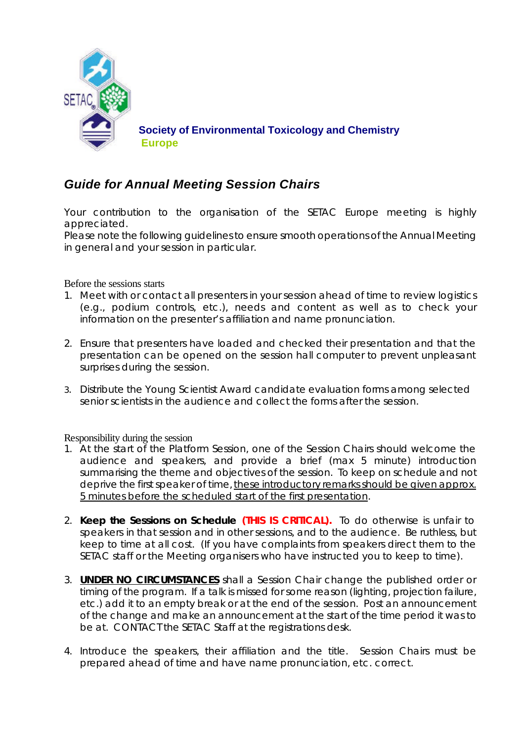

## *Guide for Annual Meeting Session Chairs*

Your contribution to the organisation of the SETAC Europe meeting is highly appreciated.

Please note the following guidelines to ensure smooth operations of the Annual Meeting in general and your session in particular.

Before the sessions starts

- 1. Meet with or contact all presenters in your session ahead of time to review logistics (e.g., podium controls, etc.), needs and content as well as to check your information on the presenter's affiliation and name pronunciation.
- 2. Ensure that presenters have loaded and checked their presentation and that the presentation can be opened on the session hall computer to prevent unpleasant surprises during the session.
- 3. Distribute the Young Scientist Award candidate evaluation forms among selected senior scientists in the audience and collect the forms after the session.

Responsibility during the session

- 1. At the start of the Platform Session, one of the Session Chairs should welcome the audience and speakers, and provide a brief (max 5 minute) introduction summarising the theme and objectives of the session. To keep on schedule and not deprive the first speaker of time, these introductory remarks should be given approx. 5 minutes before the scheduled start of the first presentation.
- 2. **Keep the Sessions on Schedule (THIS IS CRITICAL).** To do otherwise is unfair to speakers in that session and in other sessions, and to the audience. Be ruthless, but keep to time at all cost. (If you have complaints from speakers direct them to the SETAC staff or the Meeting organisers who have instructed you to keep to time).
- 3. **UNDER NO CIRCUMSTANCES** shall a Session Chair change the published order or timing of the program. If a talk is missed for some reason (lighting, projection failure, etc.) add it to an empty break or at the end of the session. Post an announcement of the change and make an announcement at the start of the time period it was to be at. CONTACT the SETAC Staff at the registrations desk.
- 4. Introduce the speakers, their affiliation and the title. Session Chairs must be prepared ahead of time and have name pronunciation, etc. correct.